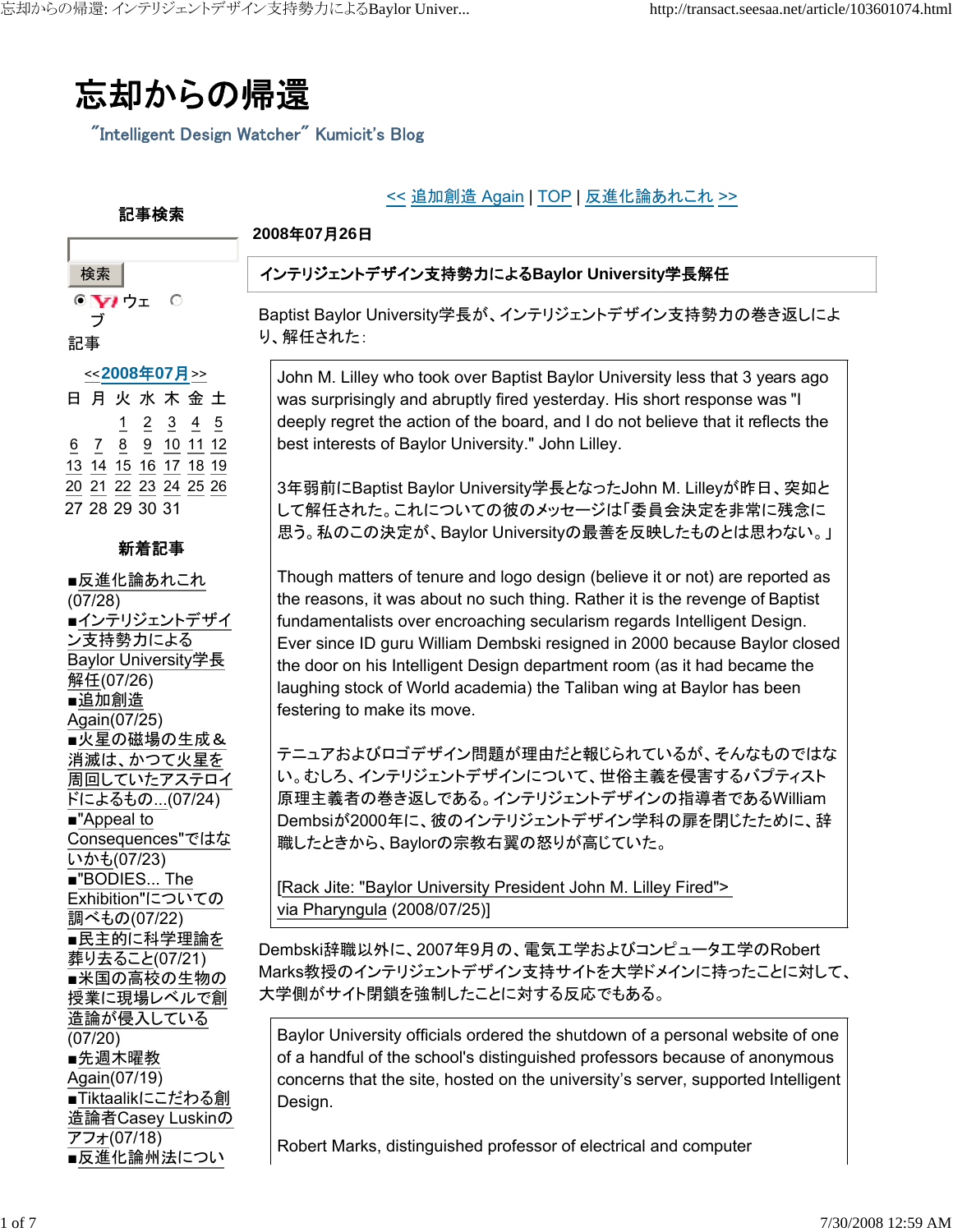

"Intelligent Design Watcher" Kumicit's Blog

## << 追加創造 Again | TOP | 反進化論あれこれ >>

#### **2008**年**07**月**26**日

# インテリジェントデザイン支持勢力による**Baylor University**学長解任

Baptist Baylor University学長が、インテリジェントデザイン支持勢力の巻き返しによ り、解任された:

John M. Lilley who took over Baptist Baylor University less that 3 years ago was surprisingly and abruptly fired yesterday. His short response was "I deeply regret the action of the board, and I do not believe that it reflects the best interests of Baylor University." John Lilley.

3年弱前にBaptist Baylor University学長となったJohn M. Lilleyが昨日、突如と して解任された。これについての彼のメッセージは「委員会決定を非常に残念に 思う。私のこの決定が、Baylor Universityの最善を反映したものとは思わない。」

Though matters of tenure and logo design (believe it or not) are reported as the reasons, it was about no such thing. Rather it is the revenge of Baptist fundamentalists over encroaching secularism regards Intelligent Design. Ever since ID guru William Dembski resigned in 2000 because Baylor closed the door on his Intelligent Design department room (as it had became the laughing stock of World academia) the Taliban wing at Baylor has been festering to make its move.

テニュアおよびロゴデザイン問題が理由だと報じられているが、そんなものではな い。むしろ、インテリジェントデザインについて、世俗主義を侵害するバプティスト 原理主義者の巻き返しである。インテリジェントデザインの指導者であるWilliam Dembsiが2000年に、彼のインテリジェントデザイン学科の扉を閉じたために、辞 職したときから、Baylorの宗教右翼の怒りが高じていた。

[Rack Jite: "Baylor University President John M. Lilley Fired"> via Pharyngula (2008/07/25)]

Dembski辞職以外に、2007年9月の、電気工学およびコンピュータ工学のRobert Marks教授のインテリジェントデザイン支持サイトを大学ドメインに持ったことに対して、 大学側がサイト閉鎖を強制したことに対する反応でもある。

Baylor University officials ordered the shutdown of a personal website of one of a handful of the school's distinguished professors because of anonymous concerns that the site, hosted on the university's server, supported Intelligent Design.

Robert Marks, distinguished professor of electrical and computer

<<**2008**年**07**月>> 日月火水木金土 1 2 3 4 5 6 7 8 9 10 11 12 13 14 15 16 17 18 19 20 21 22 23 24 25 26 27 28 29 30 31

 $\circ$ 

記事検索

 $\bullet$   $\mathbf{V}$  ウェ ブ

検索

記事

#### 新着記事

■反進化論あれこれ (07/28) ■インテリジェントデザイ ン支持勢力による Baylor University学長 解任(07/26) ■追加創造 Again(07/25) ■火星の磁場の生成& 消滅は、かつて火星を 周回していたアステロイ ドによるもの...(07/24) ■"Appeal to Consequences"ではな いかも(07/23) ■"BODIES... The Exhibition"についての 調べもの(07/22) ■民主的に科学理論を 葬り去ること(07/21) ■米国の高校の生物の 授業に現場レベルで創 造論が侵入している (07/20) ■先週木曜教 Again(07/19) ■Tiktaalikにこだわる創 造論者Casey Luskinの アフォ(07/18) ■反進化論州法につい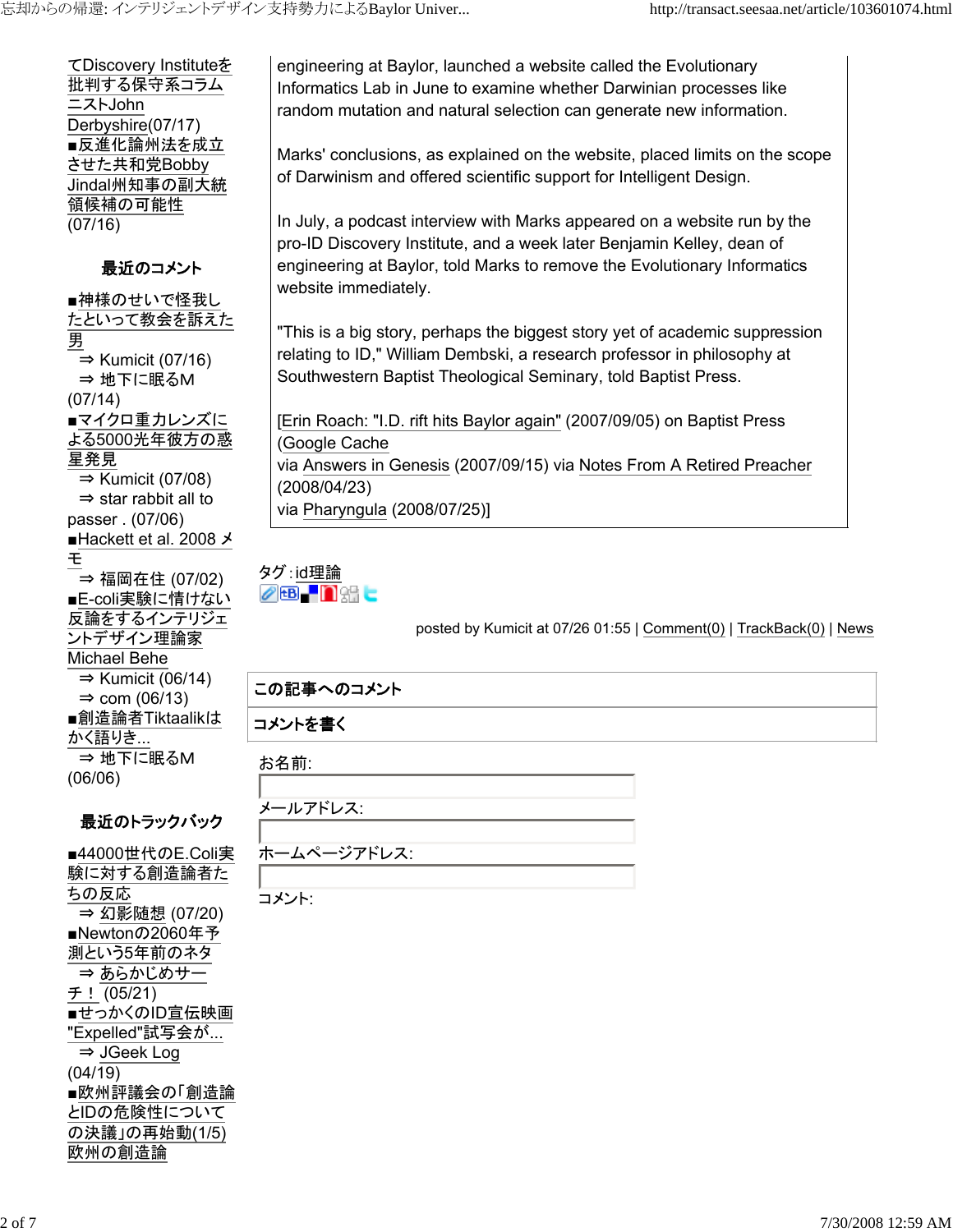てDiscovery Instituteを 批判する保守系コラム ニストJohn Derbyshire(07/17) ■反進化論州法を成立 させた共和党Bobby Jindal州知事の副大統 領候補の可能性 (07/16)

## 最近のコメント

■神様のせいで怪我し たといって教会を訴えた 男  $\Rightarrow$  Kumicit (07/16) ⇒ 地下に眠るM (07/14) ■マイクロ重力レンズに よる5000光年彼方の惑 星発見  $\Rightarrow$  Kumicit (07/08) ⇒ star rabbit all to passer . (07/06) ■Hackett et al. 2008 メ モ ⇒ 福岡在住 (07/02) ■E-coli実験に情けない 反論をするインテリジェ ントデザイン理論家 Michael Behe  $\Rightarrow$  Kumicit (06/14)  $\Rightarrow$  com (06/13) ■創造論者Tiktaalikは <u>かく語りき...</u> ⇒ 地下に眠るM (06/06)

# 最近のトラックバック

■44000世代のE.Coli実 験に対する創造論者た ちの反応 ⇒ 幻影随想 (07/20) ■Newtonの2060年予 測という5年前のネタ ⇒ あらかじめサー チ! (05/21) ■せっかくのID宣伝映画 "Expelled"試写会が... ⇒ JGeek Log (04/19) ■欧州評議会の「創造論 とIDの危険性について の決議」の再始動(1/5) 欧州の創造論

engineering at Baylor, launched a website called the Evolutionary Informatics Lab in June to examine whether Darwinian processes like random mutation and natural selection can generate new information.

Marks' conclusions, as explained on the website, placed limits on the scope of Darwinism and offered scientific support for Intelligent Design.

In July, a podcast interview with Marks appeared on a website run by the pro-ID Discovery Institute, and a week later Benjamin Kelley, dean of engineering at Baylor, told Marks to remove the Evolutionary Informatics website immediately.

"This is a big story, perhaps the biggest story yet of academic suppression relating to ID," William Dembski, a research professor in philosophy at Southwestern Baptist Theological Seminary, told Baptist Press.

[Erin Roach: "I.D. rift hits Baylor again" (2007/09/05) on Baptist Press (Google Cache via Answers in Genesis (2007/09/15) via Notes From A Retired Preacher (2008/04/23) via Pharyngula (2008/07/25)]

#### タグ:id理論 **28.0%C**

posted by Kumicit at 07/26 01:55 | Comment(0) | TrackBack(0) | News

# この記事へのコメント

## コメントを書く

お名前:

メールアドレス:

ホームページアドレス:

コメント: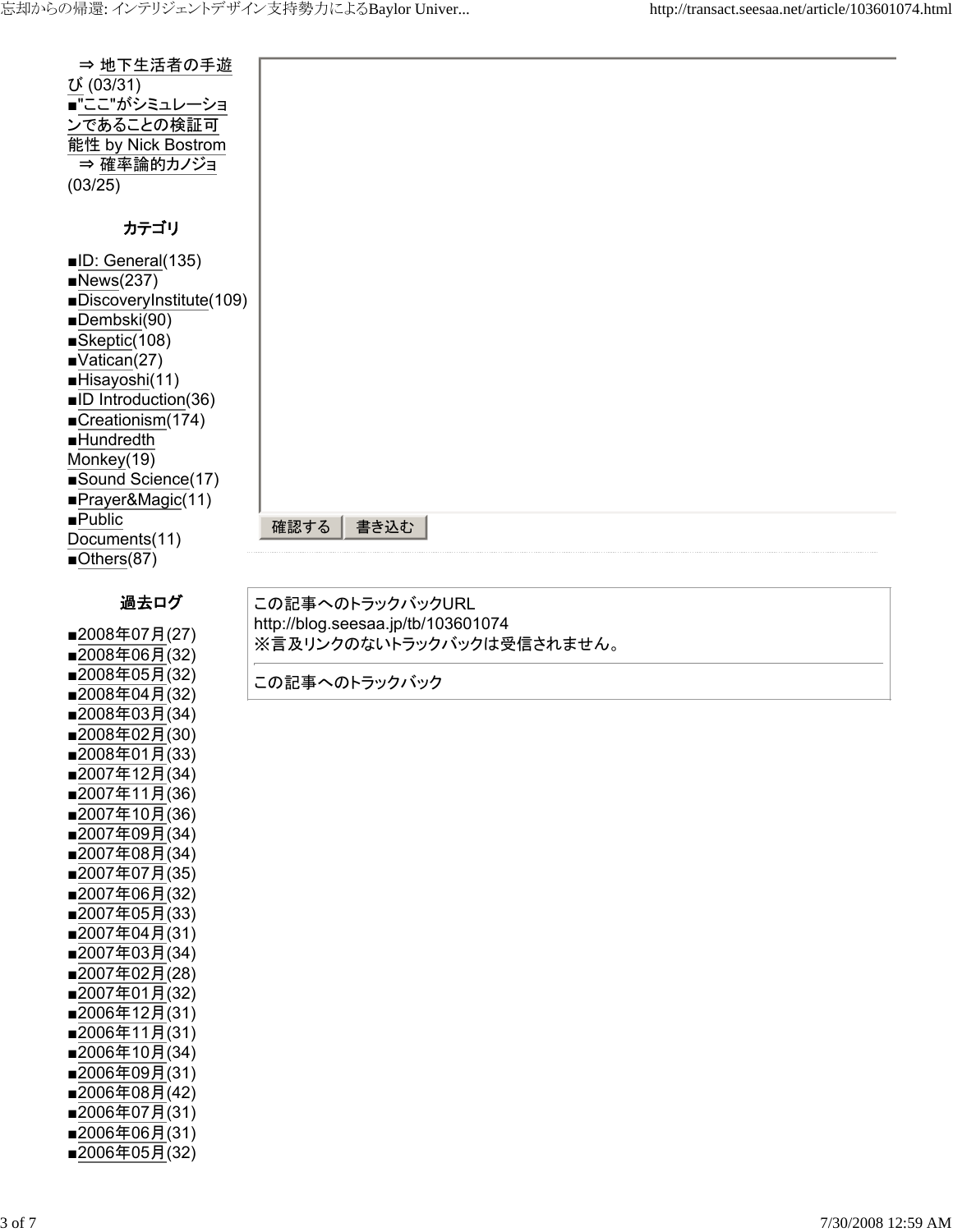| ⇒ 地下生活者の手遊<br>び (03/31)<br>■"ここ"がシミュレーショ<br>ンであることの検証可<br>能性 by Nick Bostrom<br>⇒ 確率論的カノジョ<br>(03/25)                                                                                                                                                                                    |                                                                                                      |
|------------------------------------------------------------------------------------------------------------------------------------------------------------------------------------------------------------------------------------------------------------------------------------------|------------------------------------------------------------------------------------------------------|
| カテゴリ                                                                                                                                                                                                                                                                                     |                                                                                                      |
| ■ID: General(135)<br>News(237)<br>DiscoveryInstitute(109)<br>Dembski(90)<br>Skeptic(108)<br>$\blacksquare$ Vatican(27)<br>Hisayoshi(11)<br>■ID Introduction(36)<br>■Creationism(174)<br><b>Hundredth</b><br>Monkey(19)<br>Sound Science(17)<br>Prayer&Magic(11)<br>$\blacksquare$ Public | 確認する<br>書き込む                                                                                         |
| Documents(11)<br>$\blacksquare$ Others(87)                                                                                                                                                                                                                                               |                                                                                                      |
| 過去ログ<br>■2008年07月(27)<br>■2008年06月(32)<br>■2008年05月(32)                                                                                                                                                                                                                                  | この記事へのトラックバックURL<br>http://blog.seesaa.jp/tb/103601074<br>※言及リンクのないトラックバックは受信されません。<br>この記事へのトラックバック |
| ■2008年04月(32)<br>■2008年03月(34)<br>■2008年02月(30)<br>■2008年01月(33)<br>■2007年12月(34)<br>■2007年11月(36)                                                                                                                                                                                       |                                                                                                      |

■2007年10月(36) ■2007年09月(34) ■2007年08月(34) ■2007年07月(35) ■2007年06月(32) ■2007年05月(33) ■2007年04月(31) ■2007年03月(34) ■2007年02月(28) ■2007年01月(32) ■2006年12月(31) ■2006年11月(31) ■2006年10月(34) ■2006年09月(31) ■2006年08月(42) ■2006年07月(31) ■2006年06月(31) ■2006年05月(32)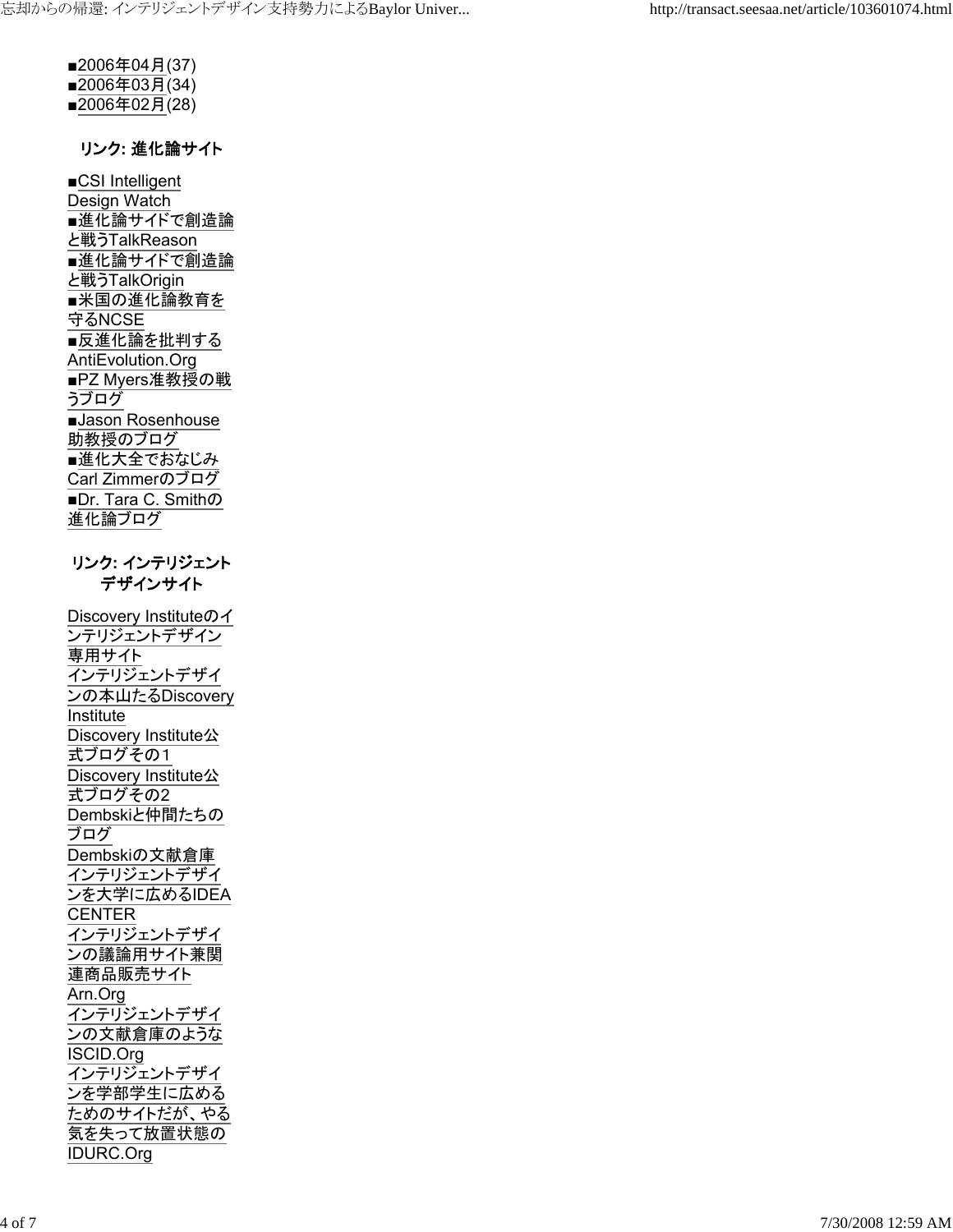■2006年04月(37) ■2006年03月(34) ■2006年02月(28)

#### リンク**:** 進化論サイト

■CSI Intelligent Design Watch ■進化論サイドで創造論 と戦うTalkReason ■進化論サイドで創造論 と戦うTalkOrigin ■米国の進化論教育を 守るNCSE ■反進化論を批判する AntiEvolution.Org ■PZ Myers准教授の戦 <u>うブログ</u> ■Jason Rosenhouse 助教授のブログ ■進化大全でおなじみ Carl Zimmerのブログ ■Dr. Tara C. Smithの 進化論ブログ リンク**:** インテリジェント デザインサイト

Discovery Instituteのイ ンテリジェントデザイン 専用サイト インテリジェントデザイ ンの本山たるDiscovery Institute Discovery Institute公 式ブログその1 Discovery Institute公 式ブログその2 Dembskiと仲間たちの ブログ Dembskiの文献倉庫 インテリジェントデザイ ンを大学に広めるIDEA **CENTER** インテリジェントデザイ ンの議論用サイト兼関 連商品販売サイト Arn.Org インテリジェントデザイ ンの文献倉庫のような ISCID.Org インテリジェントデザイ ンを学部学生に広める ためのサイトだが、やる 気を失って放置状態の IDURC.Org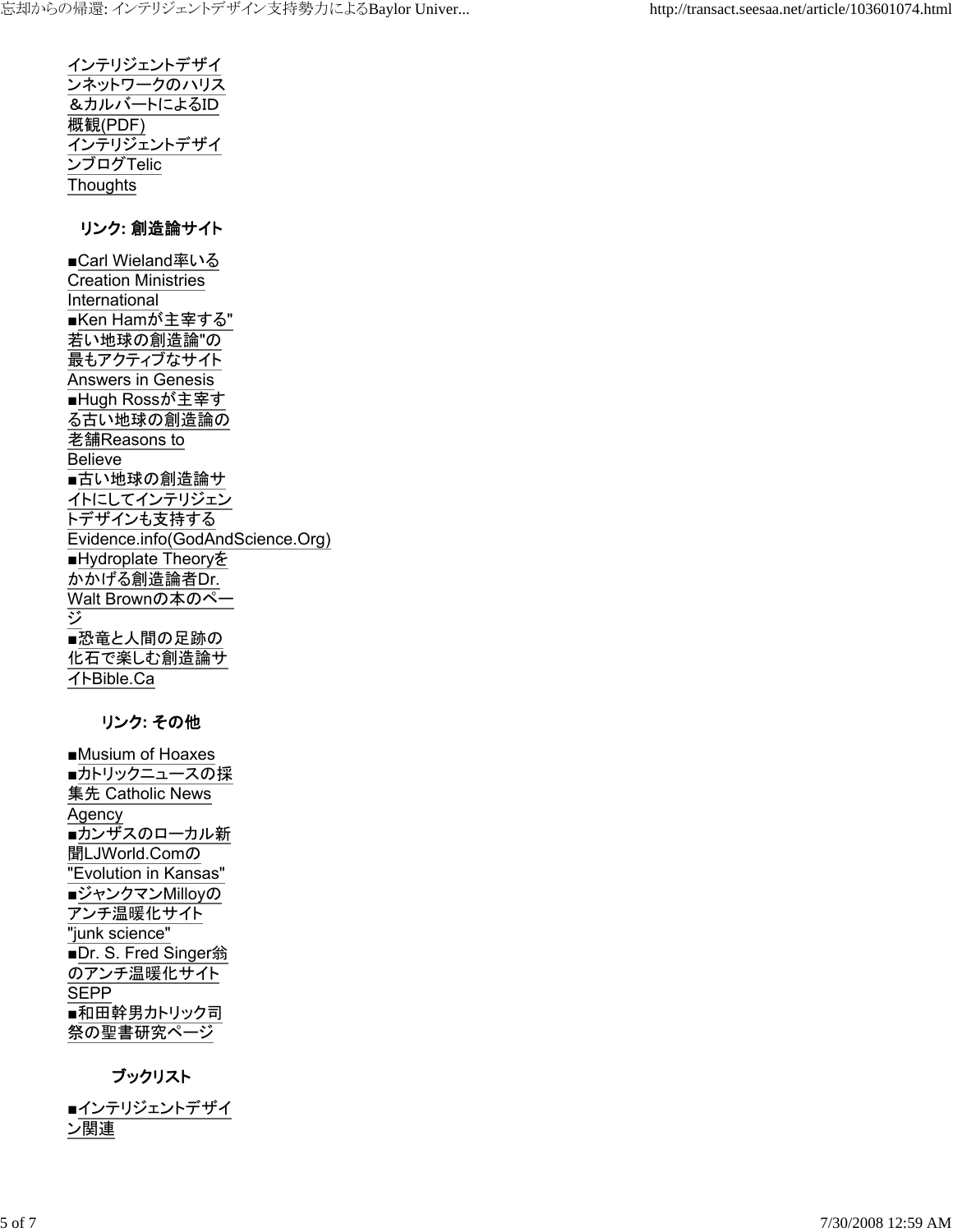インテリジェントデザイ ンネットワークのハリス &カルバートによるID 概観(PDF) インテリジェントデザイ ンブログTelic **Thoughts** 

#### リンク**:** 創造論サイト

■Carl Wieland率いる Creation Ministries International ■Ken Hamが主宰する" 若い地球の創造論"の 最もアクティブなサイト Answers in Genesis ■Hugh Rossが主宰す る古い地球の創造論の 老舗Reasons to Believe ■古い地球の創造論サ イトにしてインテリジェン トデザインも支持する Evidence.info(GodAndScience.Org) ■Hydroplate Theoryを かかげる創造論者Dr. Walt Brownの本のペー ジ ■恐竜と人間の足跡の 化石で楽しむ創造論サ イトBible.Ca

#### リンク**:** その他

■Musium of Hoaxes ■カトリックニュースの採 集先 Catholic News Agency ■カンザスのローカル新 聞LJWorld.Comの "Evolution in Kansas" ■ジャンクマンMilloyの アンチ温暖化サイト "junk science" ■Dr. S. Fred Singer翁 のアンチ温暖化サイト **SEPP** ■和田幹男カトリック司 祭の聖書研究ページ

## ブックリスト

■インテリジェントデザイ ン関連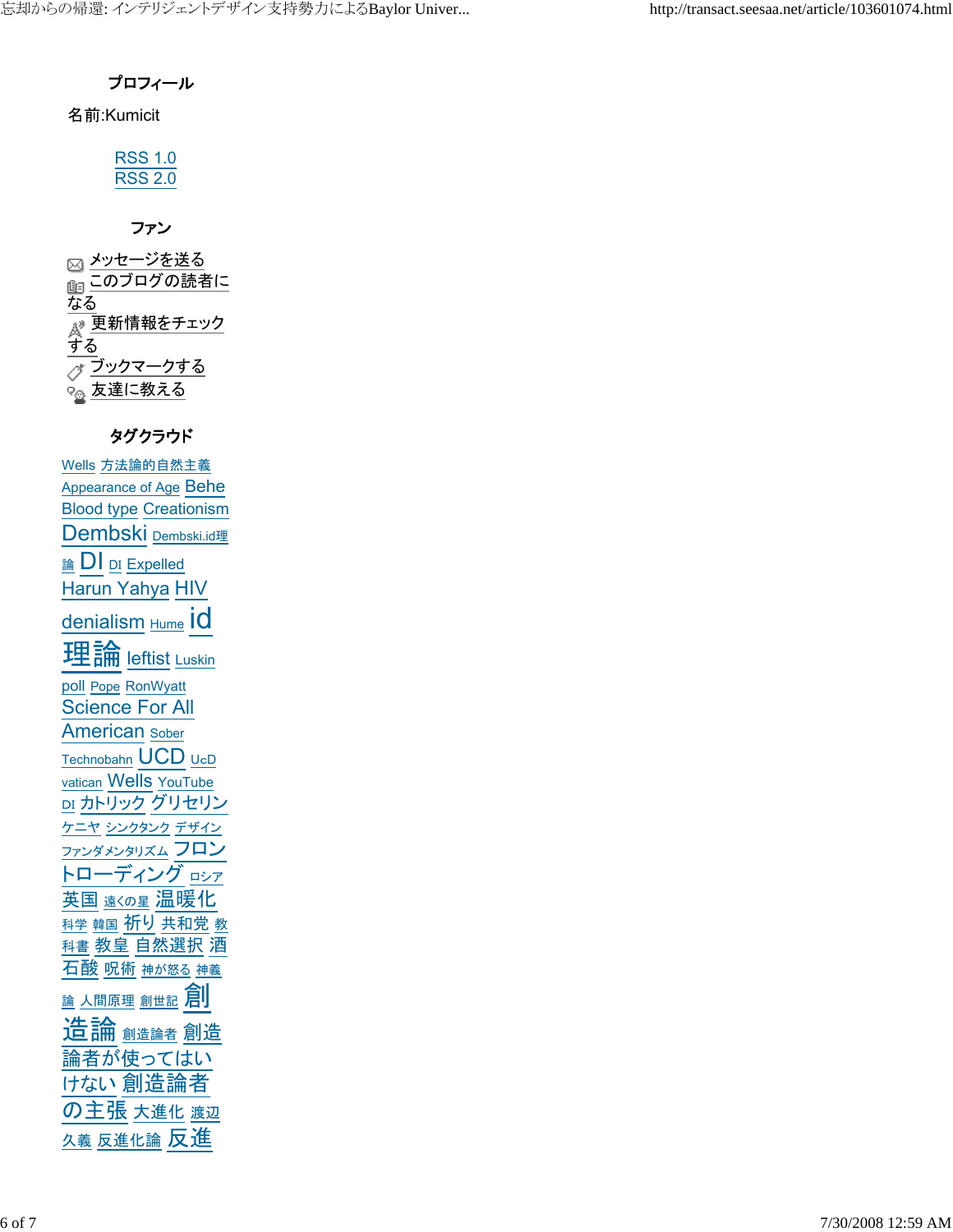## プロフィール

名前:Kumicit

| ּ      | L |  |
|--------|---|--|
| 5<br>◡ | ノ |  |
|        |   |  |

## ファン

⊠ <u>メッセージを送</u>る 面このブログの読者に なる <sub>&</sub>® 更新情報をチェック <u>する</u> ブックマークする Q<sub>の</sub>友達に教える

## タグクラウド

Wells 方法論的自然主義 Appearance of Age Behe Blood type Creationism Dembski Dembski.id理 論 DI DI Expelled Harun Yahya HIV denialism Hume IO 理論 <u>leftist</u> Luskin poll Pope RonWyatt Science For All American Sober Technobahn UCD <sup>U</sup>c<sup>D</sup> vatican Wells YouTube DI カトリック グリセリン ケニヤ シンクタンク デザイン ファンダメンタリズム フロン トローディング ロシア 英国 遠くの星 温暖化 科学 韓国 祈り 共和党 教 科書 教皇 自然選択 酒 石酸 呪術 神が怒る 神義 益 人間原理 創世記 月 造論 <sub>創造論者</sub> 創造 論者が使ってはい けない 創造論者 の主張 大進化 渡辺 久義 反進化論 反進